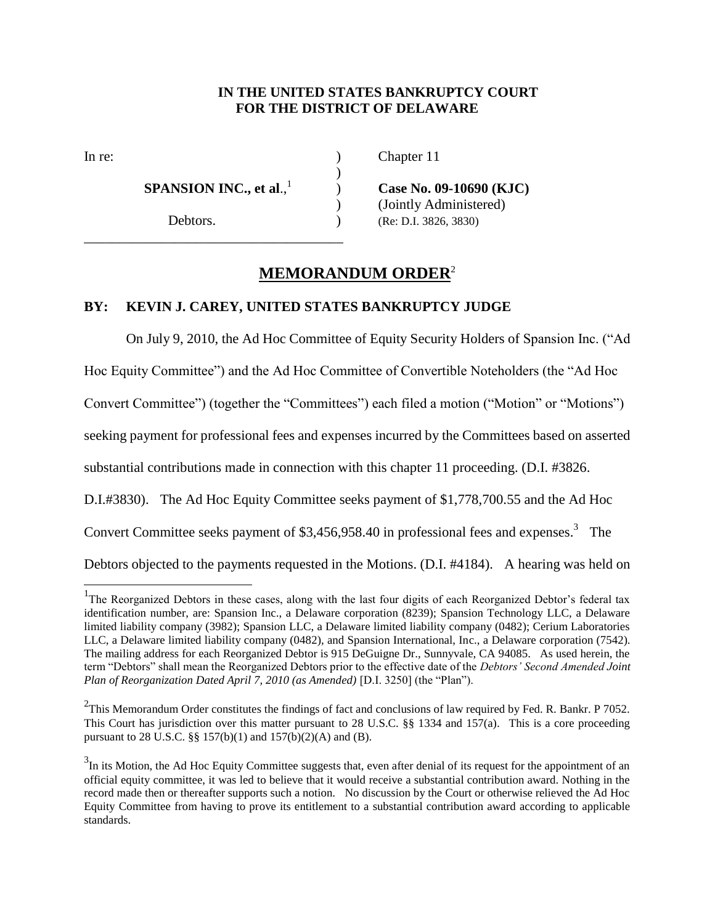## **IN THE UNITED STATES BANKRUPTCY COURT FOR THE DISTRICT OF DELAWARE**

 $\overline{a}$ 

 **SPANSION INC., et al**., 1

\_\_\_\_\_\_\_\_\_\_\_\_\_\_\_\_\_\_\_\_\_\_\_\_\_\_\_\_\_\_\_\_\_\_\_\_\_

In re: (a) Chapter 11

) **Case No. 09-10690 (KJC)** ) (Jointly Administered) Debtors. (Re: D.I. 3826, 3830)

# **MEMORANDUM ORDER**<sup>2</sup>

)

## **BY: KEVIN J. CAREY, UNITED STATES BANKRUPTCY JUDGE**

On July 9, 2010, the Ad Hoc Committee of Equity Security Holders of Spansion Inc. ("Ad

Hoc Equity Committee") and the Ad Hoc Committee of Convertible Noteholders (the "Ad Hoc

Convert Committee") (together the "Committees") each filed a motion ("Motion" or "Motions")

seeking payment for professional fees and expenses incurred by the Committees based on asserted

substantial contributions made in connection with this chapter 11 proceeding. (D.I. #3826.

D.I.#3830). The Ad Hoc Equity Committee seeks payment of \$1,778,700.55 and the Ad Hoc

Convert Committee seeks payment of  $$3,456,958.40$  in professional fees and expenses.<sup>3</sup> The

Debtors objected to the payments requested in the Motions. (D.I. #4184). A hearing was held on

<sup>&</sup>lt;sup>1</sup>The Reorganized Debtors in these cases, along with the last four digits of each Reorganized Debtor's federal tax identification number, are: Spansion Inc., a Delaware corporation (8239); Spansion Technology LLC, a Delaware limited liability company (3982); Spansion LLC, a Delaware limited liability company (0482); Cerium Laboratories LLC, a Delaware limited liability company (0482), and Spansion International, Inc., a Delaware corporation (7542). The mailing address for each Reorganized Debtor is 915 DeGuigne Dr., Sunnyvale, CA 94085. As used herein, the term "Debtors" shall mean the Reorganized Debtors prior to the effective date of the *Debtors' Second Amended Joint Plan of Reorganization Dated April 7, 2010 (as Amended)* [D.I. 3250] (the "Plan").

<sup>&</sup>lt;sup>2</sup>This Memorandum Order constitutes the findings of fact and conclusions of law required by Fed. R. Bankr. P 7052. This Court has jurisdiction over this matter pursuant to 28 U.S.C. §§ 1334 and 157(a). This is a core proceeding pursuant to 28 U.S.C. §§ 157(b)(1) and 157(b)(2)(A) and (B).

 $3$ In its Motion, the Ad Hoc Equity Committee suggests that, even after denial of its request for the appointment of an official equity committee, it was led to believe that it would receive a substantial contribution award. Nothing in the record made then or thereafter supports such a notion. No discussion by the Court or otherwise relieved the Ad Hoc Equity Committee from having to prove its entitlement to a substantial contribution award according to applicable standards.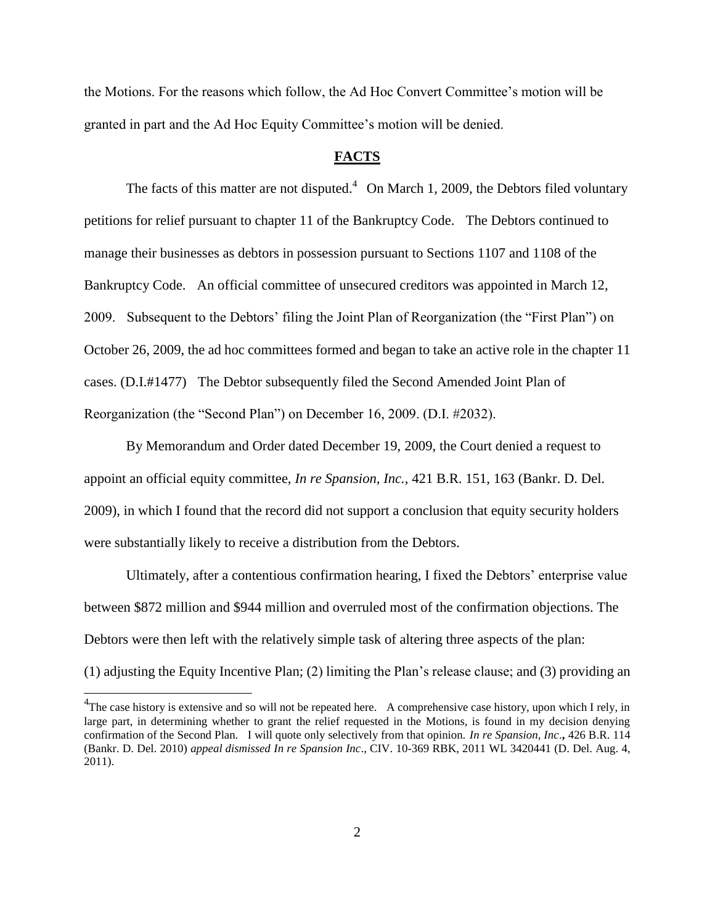the Motions. For the reasons which follow, the Ad Hoc Convert Committee's motion will be granted in part and the Ad Hoc Equity Committee's motion will be denied.

### **FACTS**

The facts of this matter are not disputed.<sup>4</sup> On March 1, 2009, the Debtors filed voluntary petitions for relief pursuant to chapter 11 of the Bankruptcy Code. The Debtors continued to manage their businesses as debtors in possession pursuant to Sections 1107 and 1108 of the Bankruptcy Code. An official committee of unsecured creditors was appointed in March 12, 2009. Subsequent to the Debtors' filing the Joint Plan of Reorganization (the "First Plan") on October 26, 2009, the ad hoc committees formed and began to take an active role in the chapter 11 cases. (D.I.#1477) The Debtor subsequently filed the Second Amended Joint Plan of Reorganization (the "Second Plan") on December 16, 2009. (D.I. #2032).

By Memorandum and Order dated December 19, 2009, the Court denied a request to appoint an official equity committee, *In re Spansion, Inc.,* 421 B.R. 151, 163 (Bankr. D. Del. 2009), in which I found that the record did not support a conclusion that equity security holders were substantially likely to receive a distribution from the Debtors.

Ultimately, after a contentious confirmation hearing, I fixed the Debtors' enterprise value between \$872 million and \$944 million and overruled most of the confirmation objections. The Debtors were then left with the relatively simple task of altering three aspects of the plan:

(1) adjusting the Equity Incentive Plan; (2) limiting the Plan's release clause; and (3) providing an

 $\overline{a}$ 

 $^{4}$ The case history is extensive and so will not be repeated here. A comprehensive case history, upon which I rely, in large part, in determining whether to grant the relief requested in the Motions, is found in my decision denying confirmation of the Second Plan. I will quote only selectively from that opinion. *In re Spansion, Inc*.**,** 426 B.R. 114 (Bankr. D. Del. 2010) *appeal dismissed In re Spansion Inc*., CIV. 10-369 RBK, 2011 WL 3420441 (D. Del. Aug. 4, 2011).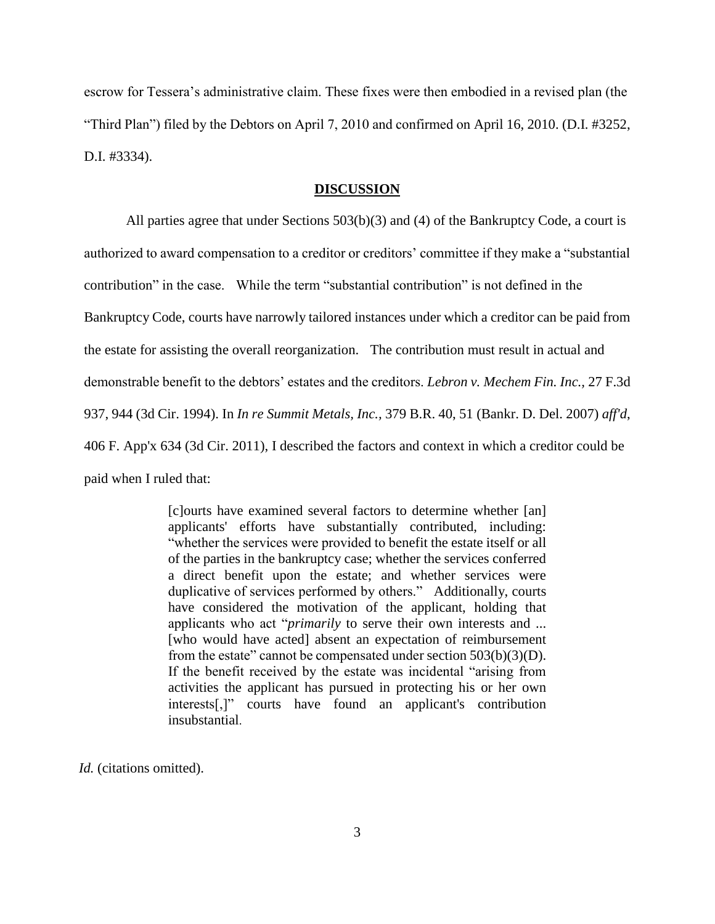escrow for Tessera's administrative claim. These fixes were then embodied in a revised plan (the "Third Plan") filed by the Debtors on April 7, 2010 and confirmed on April 16, 2010. (D.I. #3252, D.I. #3334).

#### **DISCUSSION**

All parties agree that under Sections 503(b)(3) and (4) of the Bankruptcy Code, a court is authorized to award compensation to a creditor or creditors' committee if they make a "substantial contribution" in the case. While the term "substantial contribution" is not defined in the Bankruptcy Code, courts have narrowly tailored instances under which a creditor can be paid from the estate for assisting the overall reorganization. The contribution must result in actual and demonstrable benefit to the debtors' estates and the creditors. *Lebron v. Mechem Fin. Inc.,* 27 F.3d 937, 944 (3d Cir. 1994). In *In re Summit Metals, Inc.,* 379 B.R. 40, 51 (Bankr. D. Del. 2007) *aff'd*, 406 F. App'x 634 (3d Cir. 2011), I described the factors and context in which a creditor could be paid when I ruled that:

> [c]ourts have examined several factors to determine whether [an] applicants' efforts have substantially contributed, including: "whether the services were provided to benefit the estate itself or all of the parties in the bankruptcy case; whether the services conferred a direct benefit upon the estate; and whether services were duplicative of services performed by others." Additionally, courts have considered the motivation of the applicant, holding that applicants who act "*primarily* to serve their own interests and ... [who would have acted] absent an expectation of reimbursement from the estate" cannot be compensated under section 503(b)(3)(D). If the benefit received by the estate was incidental "arising from activities the applicant has pursued in protecting his or her own interests[,]" courts have found an applicant's contribution insubstantial.

*Id.* (citations omitted).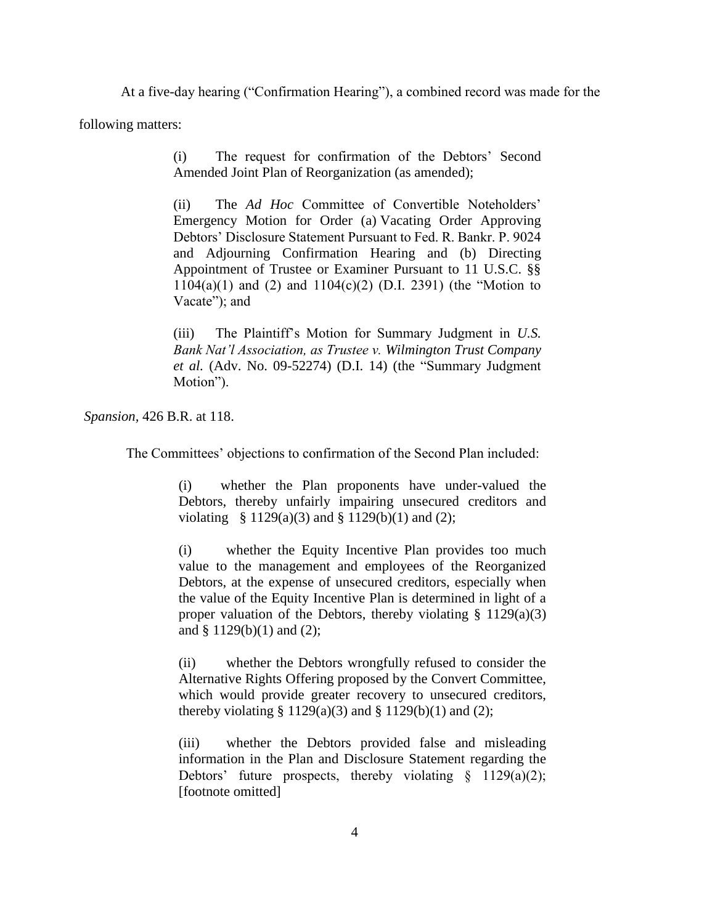At a five-day hearing ("Confirmation Hearing"), a combined record was made for the

following matters:

(i) The request for confirmation of the Debtors' Second Amended Joint Plan of Reorganization (as amended);

(ii) The *Ad Hoc* Committee of Convertible Noteholders' Emergency Motion for Order (a) Vacating Order Approving Debtors' Disclosure Statement Pursuant to Fed. R. Bankr. P. 9024 and Adjourning Confirmation Hearing and (b) Directing Appointment of Trustee or Examiner Pursuant to 11 U.S.C. §§  $1104(a)(1)$  and  $(2)$  and  $1104(c)(2)$  (D.I. 2391) (the "Motion to Vacate"); and

(iii) The Plaintiff's Motion for Summary Judgment in *U.S. Bank Nat'l Association, as Trustee v. Wilmington Trust Company et al.* (Adv. No. 09-52274) (D.I. 14) (the "Summary Judgment Motion").

*Spansion,* 426 B.R. at 118.

The Committees' objections to confirmation of the Second Plan included:

(i) whether the Plan proponents have under-valued the Debtors, thereby unfairly impairing unsecured creditors and violating § 1129(a)(3) and § 1129(b)(1) and (2);

(i) whether the Equity Incentive Plan provides too much value to the management and employees of the Reorganized Debtors, at the expense of unsecured creditors, especially when the value of the Equity Incentive Plan is determined in light of a proper valuation of the Debtors, thereby violating  $\S$  1129(a)(3) and § 1129(b)(1) and (2);

(ii) whether the Debtors wrongfully refused to consider the Alternative Rights Offering proposed by the Convert Committee, which would provide greater recovery to unsecured creditors, thereby violating  $\S 1129(a)(3)$  and  $\S 1129(b)(1)$  and (2);

(iii) whether the Debtors provided false and misleading information in the Plan and Disclosure Statement regarding the Debtors' future prospects, thereby violating  $\S$  1129(a)(2); [footnote omitted]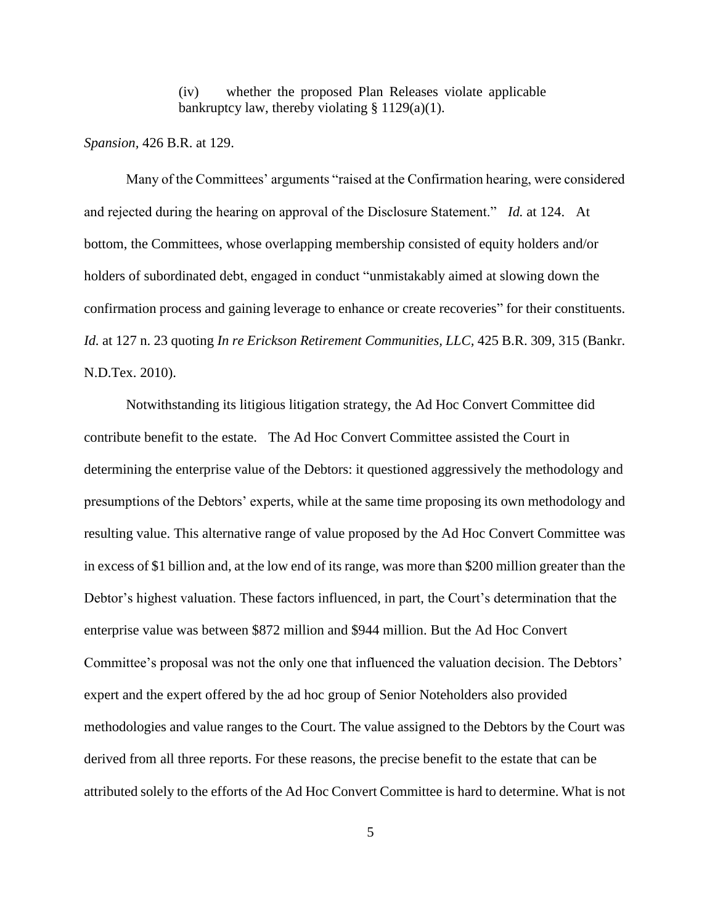(iv) whether the proposed Plan Releases violate applicable bankruptcy law, thereby violating § 1129(a)(1).

*Spansion,* 426 B.R. at 129.

Many of the Committees' arguments "raised at the Confirmation hearing, were considered and rejected during the hearing on approval of the Disclosure Statement." *Id.* at 124. At bottom, the Committees, whose overlapping membership consisted of equity holders and/or holders of subordinated debt, engaged in conduct "unmistakably aimed at slowing down the confirmation process and gaining leverage to enhance or create recoveries" for their constituents. *Id.* at 127 n. 23 quoting *In re Erickson Retirement Communities, LLC,* 425 B.R. 309, 315 (Bankr. N.D.Tex. 2010).

Notwithstanding its litigious litigation strategy, the Ad Hoc Convert Committee did contribute benefit to the estate. The Ad Hoc Convert Committee assisted the Court in determining the enterprise value of the Debtors: it questioned aggressively the methodology and presumptions of the Debtors' experts, while at the same time proposing its own methodology and resulting value. This alternative range of value proposed by the Ad Hoc Convert Committee was in excess of \$1 billion and, at the low end of its range, was more than \$200 million greater than the Debtor's highest valuation. These factors influenced, in part, the Court's determination that the enterprise value was between \$872 million and \$944 million. But the Ad Hoc Convert Committee's proposal was not the only one that influenced the valuation decision. The Debtors' expert and the expert offered by the ad hoc group of Senior Noteholders also provided methodologies and value ranges to the Court. The value assigned to the Debtors by the Court was derived from all three reports. For these reasons, the precise benefit to the estate that can be attributed solely to the efforts of the Ad Hoc Convert Committee is hard to determine. What is not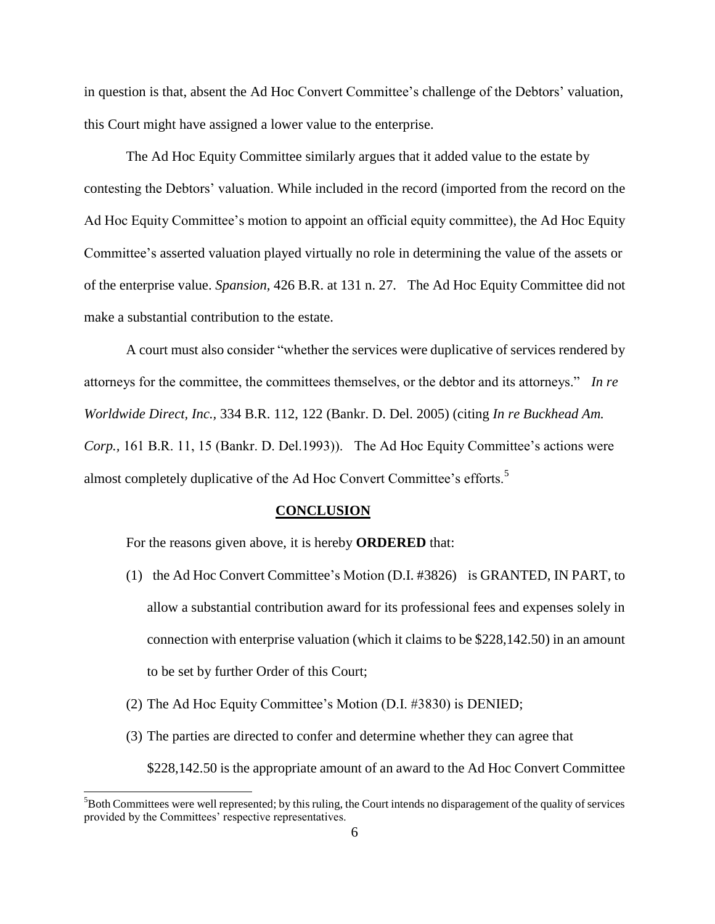in question is that, absent the Ad Hoc Convert Committee's challenge of the Debtors' valuation, this Court might have assigned a lower value to the enterprise.

The Ad Hoc Equity Committee similarly argues that it added value to the estate by contesting the Debtors' valuation. While included in the record (imported from the record on the Ad Hoc Equity Committee's motion to appoint an official equity committee), the Ad Hoc Equity Committee's asserted valuation played virtually no role in determining the value of the assets or of the enterprise value. *Spansion,* 426 B.R. at 131 n. 27. The Ad Hoc Equity Committee did not make a substantial contribution to the estate.

A court must also consider "whether the services were duplicative of services rendered by attorneys for the committee, the committees themselves, or the debtor and its attorneys." *In re Worldwide Direct, Inc.,* 334 B.R. 112, 122 (Bankr. D. Del. 2005) (citing *In re Buckhead Am. Corp.,* 161 B.R. 11, 15 (Bankr. D. Del.1993)). The Ad Hoc Equity Committee's actions were almost completely duplicative of the Ad Hoc Convert Committee's efforts.<sup>5</sup>

#### **CONCLUSION**

For the reasons given above, it is hereby **ORDERED** that:

l

- (1) the Ad Hoc Convert Committee's Motion (D.I. #3826) is GRANTED, IN PART, to allow a substantial contribution award for its professional fees and expenses solely in connection with enterprise valuation (which it claims to be \$228,142.50) in an amount to be set by further Order of this Court;
- (2) The Ad Hoc Equity Committee's Motion (D.I. #3830) is DENIED;
- (3) The parties are directed to confer and determine whether they can agree that \$228,142.50 is the appropriate amount of an award to the Ad Hoc Convert Committee

 $5$ Both Committees were well represented; by this ruling, the Court intends no disparagement of the quality of services provided by the Committees' respective representatives.